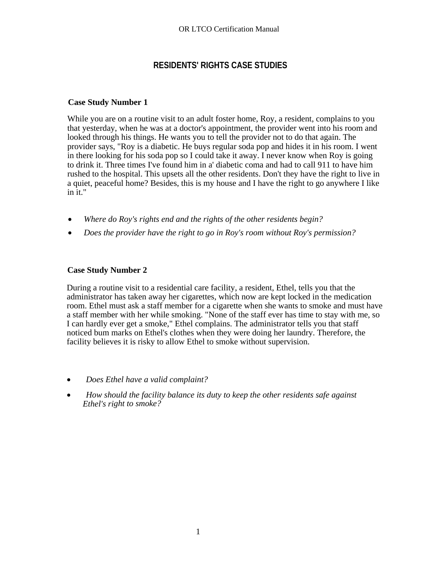# **RESIDENTS' RIGHTS CASE STUDIES**

## **Case Study Number 1**

While you are on a routine visit to an adult foster home, Roy, a resident, complains to you that yesterday, when he was at a doctor's appointment, the provider went into his room and looked through his things. He wants you to tell the provider not to do that again. The provider says, "Roy is a diabetic. He buys regular soda pop and hides it in his room. I went in there looking for his soda pop so I could take it away. I never know when Roy is going to drink it. Three times I've found him in a' diabetic coma and had to call 911 to have him rushed to the hospital. This upsets all the other residents. Don't they have the right to live in a quiet, peaceful home? Besides, this is my house and I have the right to go anywhere I like in it."

- *Where do Roy's rights end and the rights of the other residents begin?*
- *Does the provider have the right to go in Roy's room without Roy's permission?*

# **Case Study Number 2**

During a routine visit to a residential care facility, a resident, Ethel, tells you that the administrator has taken away her cigarettes, which now are kept locked in the medication room. Ethel must ask a staff member for a cigarette when she wants to smoke and must have a staff member with her while smoking. "None of the staff ever has time to stay with me, so I can hardly ever get a smoke," Ethel complains. The administrator tells you that staff noticed bum marks on Ethel's clothes when they were doing her laundry. Therefore, the facility believes it is risky to allow Ethel to smoke without supervision.

- *Does Ethel have a valid complaint?*
- *How should the facility balance its duty to keep the other residents safe against Ethel's right to smoke?*